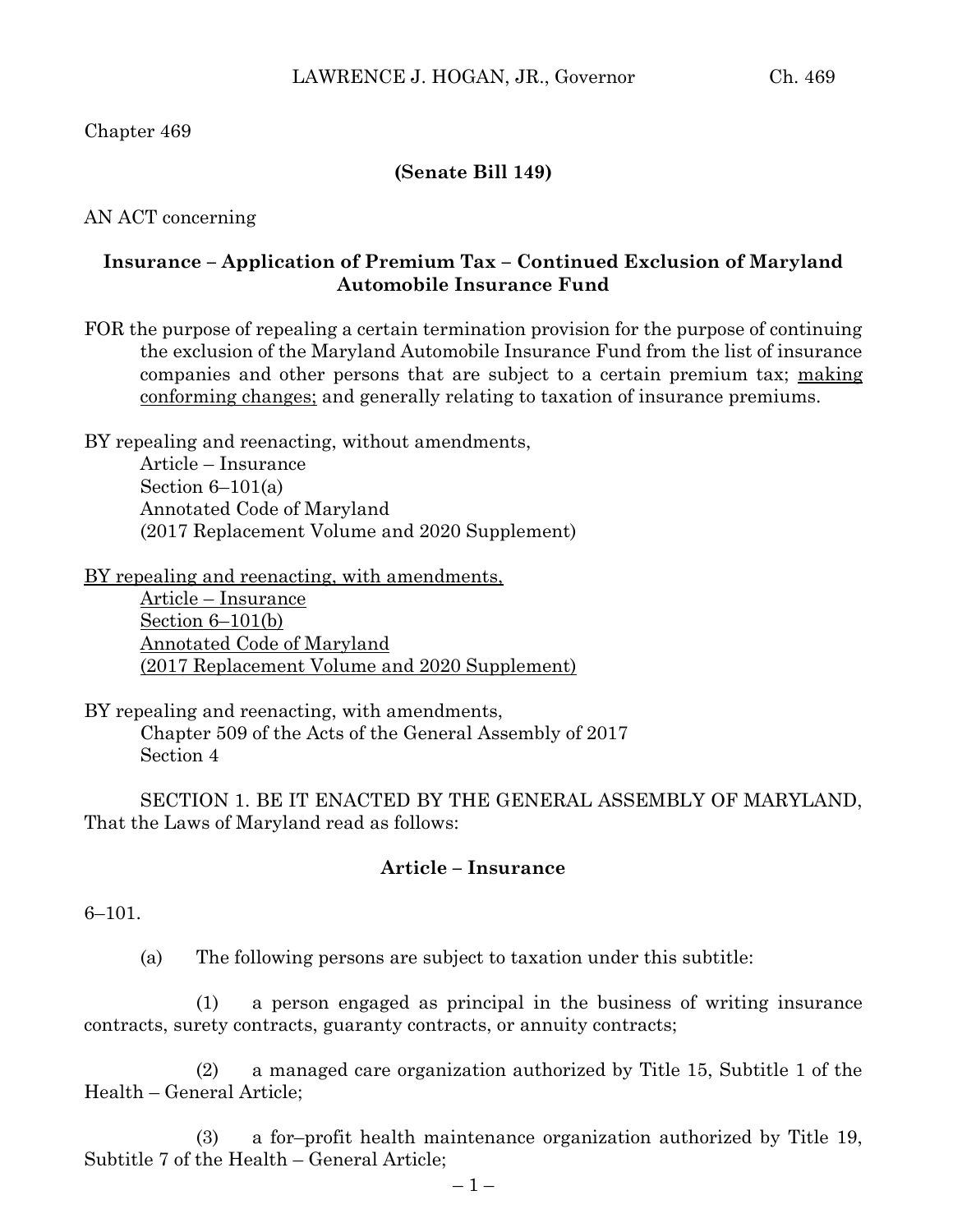Chapter 469

#### **(Senate Bill 149)**

AN ACT concerning

### **Insurance – Application of Premium Tax – Continued Exclusion of Maryland Automobile Insurance Fund**

FOR the purpose of repealing a certain termination provision for the purpose of continuing the exclusion of the Maryland Automobile Insurance Fund from the list of insurance companies and other persons that are subject to a certain premium tax; making conforming changes; and generally relating to taxation of insurance premiums.

BY repealing and reenacting, without amendments,

Article – Insurance Section  $6-101(a)$ Annotated Code of Maryland (2017 Replacement Volume and 2020 Supplement)

BY repealing and reenacting, with amendments,

Article – Insurance Section 6–101(b) Annotated Code of Maryland (2017 Replacement Volume and 2020 Supplement)

BY repealing and reenacting, with amendments, Chapter 509 of the Acts of the General Assembly of 2017 Section 4

SECTION 1. BE IT ENACTED BY THE GENERAL ASSEMBLY OF MARYLAND, That the Laws of Maryland read as follows:

# **Article – Insurance**

6–101.

(a) The following persons are subject to taxation under this subtitle:

(1) a person engaged as principal in the business of writing insurance contracts, surety contracts, guaranty contracts, or annuity contracts;

(2) a managed care organization authorized by Title 15, Subtitle 1 of the Health – General Article;

(3) a for–profit health maintenance organization authorized by Title 19, Subtitle 7 of the Health – General Article;